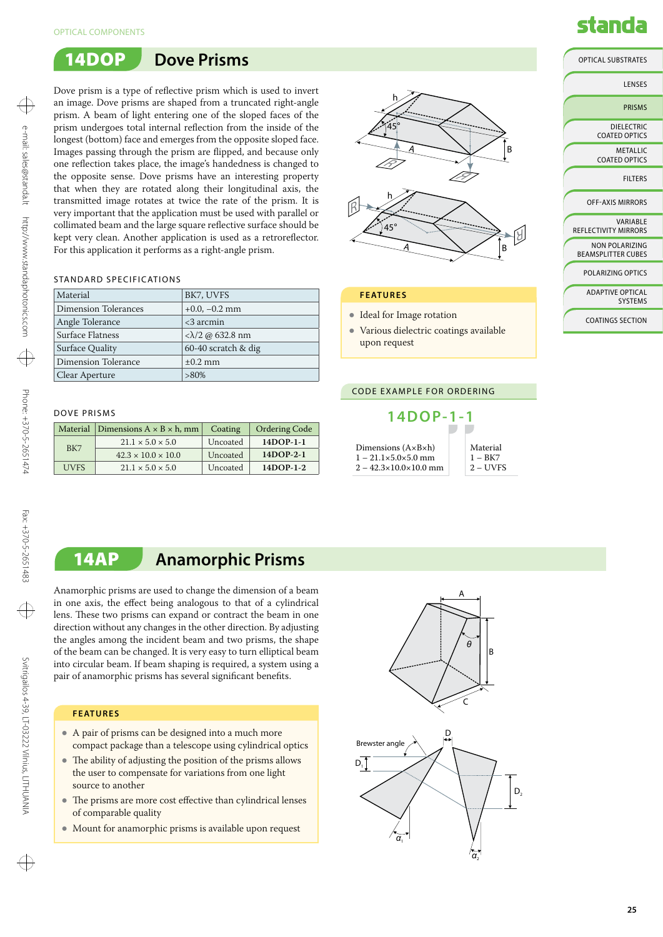

Dove prism is a type of reflective prism which is used to invert an image. Dove prisms are shaped from a truncated right-angle prism. A beam of light entering one of the sloped faces of the prism undergoes total internal reflection from the inside of the longest (bottom) face and emerges from the opposite sloped face. Images passing through the prism are flipped, and because only one reflection takes place, the image's handedness is changed to the opposite sense. Dove prisms have an interesting property that when they are rotated along their longitudinal axis, the transmitted image rotates at twice the rate of the prism. It is very important that the application must be used with parallel or collimated beam and the large square reflective surface should be kept very clean. Another application is used as a retroreflector. For this application it performs as a right-angle prism.

### STANDARD SPECIFICATIONS

| Material             | BK7, UVFS               |
|----------------------|-------------------------|
| Dimension Tolerances | $+0.0, -0.2$ mm         |
| Angle Tolerance      | $<$ 3 arcmin            |
| Surface Flatness     | $<\lambda/2$ @ 632.8 nm |
| Surface Quality      | 60-40 scratch & dig     |
| Dimension Tolerance  | $\pm 0.2$ mm            |
| Clear Aperture       | $>80\%$                 |

### Dove Prisms

|             | Material Dimensions $A \times B \times h$ , mm<br>Coating |          | <b>Ordering Code</b> |
|-------------|-----------------------------------------------------------|----------|----------------------|
|             | $21.1 \times 5.0 \times 5.0$                              | Uncoated | $14DOP-1-1$          |
| BK7         | $42.3 \times 10.0 \times 10.0$                            | Uncoated | $14DOP-2-1$          |
| <b>UVES</b> | $21.1 \times 5.0 \times 5.0$                              | Uncoated | $14DOP-1-2$          |



### **Features**

- Ideal for Image rotation
- Various dielectric coatings available upon request

### code example for ordering



## 14AP **Anamorphic Prisms**

Anamorphic prisms are used to change the dimension of a beam in one axis, the effect being analogous to that of a cylindrical lens. These two prisms can expand or contract the beam in one direction without any changes in the other direction. By adjusting the angles among the incident beam and two prisms, the shape of the beam can be changed. It is very easy to turn elliptical beam into circular beam. If beam shaping is required, a system using a pair of anamorphic prisms has several significant benefits.

### **Features**

- A pair of prisms can be designed into a much more compact package than a telescope using cylindrical optics
- The ability of adjusting the position of the prisms allows the user to compensate for variations from one light source to another
- The prisms are more cost effective than cylindrical lenses of comparable quality
- Mount for anamorphic prisms is available upon request



# standa

Optical Substrates

| LENSES                                             |
|----------------------------------------------------|
| <b>PRISMS</b>                                      |
| DIELECTRIC<br>COATED OPTICS                        |
| <b>METALLIC</b><br>COATED OPTICS                   |
| <b>FILTERS</b>                                     |
| <b>OFF-AXIS MIRRORS</b>                            |
| <b>VARIARIF</b><br>REFLECTIVITY MIRRORS            |
| <b>NON POLARIZING</b><br><b>BEAMSPLITTER CUBES</b> |
| POLARIZING OPTICS                                  |
| <b>ADAPTIVE OPTICAL</b><br><b>SYSTEMS</b>          |
| <b>COATINGS SECTION</b>                            |
|                                                    |

 $\oplus$ 

⊕